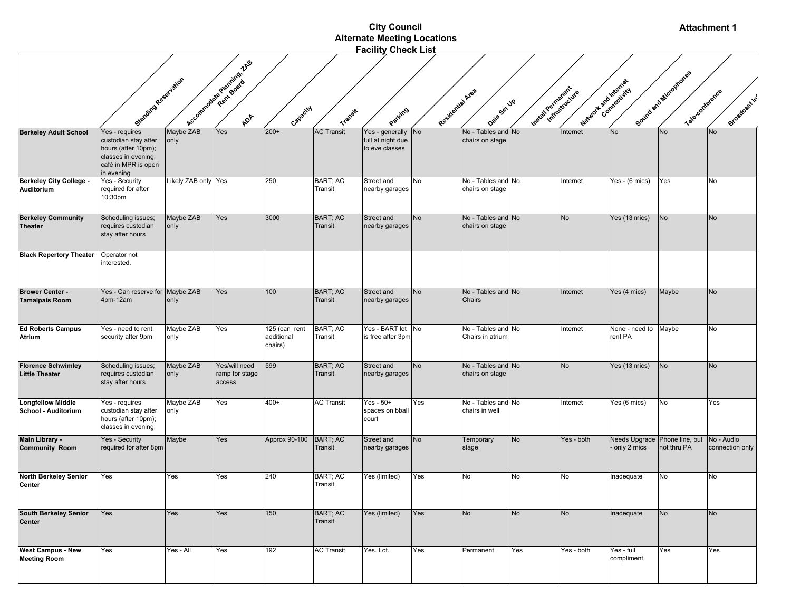|                                                    |                                                                                                                           |                     |                                           |                                        |                                   | <b>City Council</b>                                    |                  |                                        |                       |            |                           | <b>Attachment 1</b>                          |                               |
|----------------------------------------------------|---------------------------------------------------------------------------------------------------------------------------|---------------------|-------------------------------------------|----------------------------------------|-----------------------------------|--------------------------------------------------------|------------------|----------------------------------------|-----------------------|------------|---------------------------|----------------------------------------------|-------------------------------|
|                                                    |                                                                                                                           |                     |                                           |                                        |                                   | <b>Alternate Meeting Locations</b>                     |                  |                                        |                       |            |                           |                                              |                               |
|                                                    |                                                                                                                           |                     |                                           |                                        |                                   | <b>Facility Check List</b>                             |                  |                                        |                       |            |                           |                                              |                               |
|                                                    | Starting Reservation                                                                                                      |                     | Accommodate Package of Accords 148        | Capacity                               | <b>Transit</b>                    | Parking                                                | Residential Area | Daise Set UP                           | Installations for the |            | Material Pointernal       | Sound and Microphones<br>Teleconference      | Broadcastin'                  |
| <b>Berkeley Adult School</b>                       | Yes - requires<br>custodian stay after<br>hours (after 10pm);<br>classes in evening;<br>café in MPR is open<br>in evening | Maybe ZAB<br>only   | Yes                                       | $200+$                                 | <b>AC Transit</b>                 | Yes - generally<br>full at night due<br>to eve classes | No               | No - Tables and No<br>chairs on stage  |                       | Internet   | <b>No</b>                 | <b>No</b>                                    | No                            |
| Berkeley City College -<br>Auditorium              | Yes - Security<br>required for after<br>10:30pm                                                                           | Likely ZAB only Yes |                                           | 250                                    | BART; AC<br>Transit               | Street and<br>nearby garages                           | <b>No</b>        | No - Tables and No<br>chairs on stage  |                       | Internet   | Yes - (6 mics)            | Yes                                          | No                            |
| <b>Berkeley Community</b><br><b>Theater</b>        | Scheduling issues;<br>requires custodian<br>stay after hours                                                              | Maybe ZAB<br>only   | Yes                                       | 3000                                   | <b>BART</b> ; AC<br>Transit       | Street and<br>nearby garages                           | <b>No</b>        | No - Tables and No<br>chairs on stage  |                       | <b>No</b>  | Yes (13 mics)             | <b>No</b>                                    | <b>No</b>                     |
| <b>Black Repertory Theater</b>                     | Operator not<br>interested.                                                                                               |                     |                                           |                                        |                                   |                                                        |                  |                                        |                       |            |                           |                                              |                               |
| <b>Brower Center -</b><br><b>Tamalpais Room</b>    | Yes - Can reserve for Maybe ZAB<br>4pm-12am                                                                               | only                | Yes                                       | 100                                    | <b>BART; AC</b><br><b>Transit</b> | Street and<br>nearby garages                           | <b>No</b>        | No - Tables and No<br>Chairs           |                       | Internet   | Yes (4 mics)              | Maybe                                        | No                            |
| <b>Ed Roberts Campus</b><br><b>Atrium</b>          | Yes - need to rent<br>security after 9pm                                                                                  | Maybe ZAB<br>only   | Yes                                       | 125 (can rent<br>additional<br>chairs) | <b>BART; AC</b><br>Transit        | Yes - BART lot No<br>is free after 3pm                 |                  | No - Tables and No<br>Chairs in atrium |                       | Internet   | None - need to<br>rent PA | Maybe                                        | No                            |
| <b>Florence Schwimley</b><br><b>Little Theater</b> | Scheduling issues;<br>requires custodian<br>stay after hours                                                              | Maybe ZAB<br>only   | Yes/will need<br>ramp for stage<br>access | 599                                    | BART; AC<br><b>Transit</b>        | Street and<br>nearby garages                           | <b>No</b>        | No - Tables and No<br>chairs on stage  |                       | No         | Yes (13 mics)             | <b>No</b>                                    | <b>No</b>                     |
| <b>Longfellow Middle</b><br>School - Auditorium    | Yes - requires<br>custodian stay after<br>hours (after 10pm);<br>classes in evening;                                      | Maybe ZAB<br>only   | Yes                                       | 400+                                   | <b>AC Transit</b>                 | Yes - $50+$<br>spaces on bball<br>court                | Yes              | No - Tables and No<br>chairs in well   |                       | Internet   | Yes (6 mics)              | No                                           | Yes                           |
| Main Library -<br><b>Community Room</b>            | Yes - Security<br>required for after 8pm                                                                                  | Maybe               | Yes                                       | Approx 90-100                          | <b>BART; AC</b><br>Transit        | Street and<br>nearby garages                           | <b>No</b>        | Temporary<br>stage                     | <b>No</b>             | Yes - both | only 2 mics               | Needs Upgrade Phone line, but<br>not thru PA | No - Audio<br>connection only |
| <b>North Berkeley Senior</b><br>Center             | Yes                                                                                                                       | Yes                 | Yes                                       | 240                                    | <b>BART; AC</b><br>Transit        | Yes (limited)                                          | Yes              | No                                     | No                    | No         | Inadequate                | No                                           | No                            |
| <b>South Berkeley Senior</b><br><b>Center</b>      | Yes                                                                                                                       | Yes                 | Yes                                       | 150                                    | <b>BART; AC</b><br>Transit        | Yes (limited)                                          | Yes              | <b>No</b>                              | <b>No</b>             | <b>No</b>  | Inadequate                | <b>No</b>                                    | No                            |
| <b>West Campus - New</b><br><b>Meeting Room</b>    | Yes                                                                                                                       | Yes - All           | Yes                                       | 192                                    | <b>AC Transit</b>                 | Yes. Lot.                                              | Yes              | Permanent                              | Yes                   | Yes - both | Yes - full<br>compliment  | Yes                                          | Yes                           |